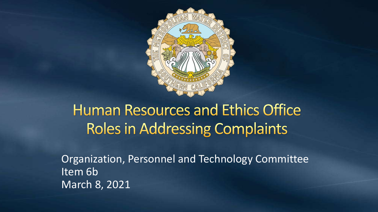

## **Human Resources and Ethics Office Roles in Addressing Complaints**

Organization, Personnel and Technology Committee Item 6b March 8, 2021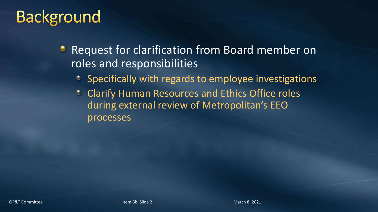# **Background**

- Request for clarification from Board member on roles and responsibilities
	- Specifically with regards to employee investigations
	- Clarify Human Resources and Ethics Office roles during external review of Metropolitan's EEO processes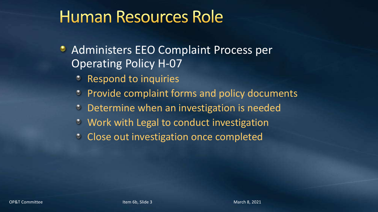- **Administers EEO Complaint Process per** Operating Policy H-07
	- Respond to inquiries
	- **Provide complaint forms and policy documents**
	- Determine when an investigation is needed
	- Work with Legal to conduct investigation
	- **Close out investigation once completed**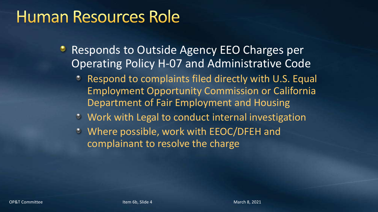- **Responds to Outside Agency EEO Charges per** Operating Policy H-07 and Administrative Code
	- Respond to complaints filed directly with U.S. Equal Employment Opportunity Commission or California Department of Fair Employment and Housing
	- Work with Legal to conduct internal investigation
	- Where possible, work with EEOC/DFEH and complainant to resolve the charge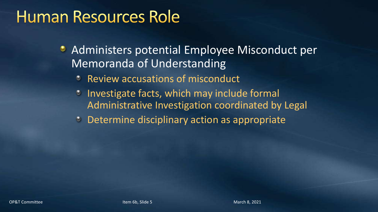- Administers potential Employee Misconduct per Memoranda of Understanding
	- Review accusations of misconduct
	- $\bullet$  Investigate facts, which may include formal Administrative Investigation coordinated by Legal
	- **Determine disciplinary action as appropriate**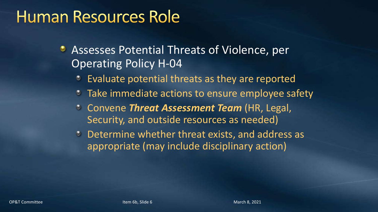- **Assesses Potential Threats of Violence, per** Operating Policy H-04
	- Evaluate potential threats as they are reported
	- **Take immediate actions to ensure employee safety**
	- Convene *Threat Assessment Team* (HR, Legal, Security, and outside resources as needed)
	- Determine whether threat exists, and address as appropriate (may include disciplinary action)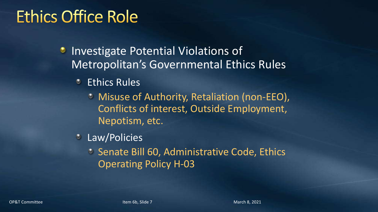# **Ethics Office Role**

**Investigate Potential Violations of** Metropolitan's Governmental Ethics Rules

- Ethics Rules
	- Misuse of Authority, Retaliation (non-EEO), Conflicts of interest, Outside Employment, Nepotism, etc.
- Law/Policies
	- <sup>o</sup> Senate Bill 60, Administrative Code, Ethics Operating Policy H-03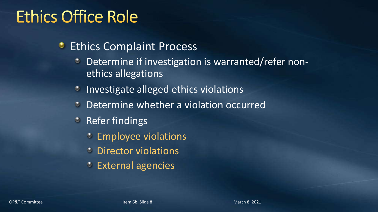# **Ethics Office Role**

- **•** Ethics Complaint Process
	- Determine if investigation is warranted/refer nonethics allegations
	- **Investigate alleged ethics violations**
	- Determine whether a violation occurred  $\bullet$
	- *C* Refer findings
		- **Employee violations**
		- **C** Director violations
		- External agencies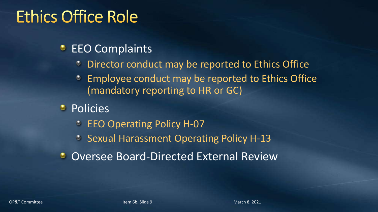# **Ethics Office Role**

#### **EEO Complaints**

- Director conduct may be reported to Ethics Office
- **Employee conduct may be reported to Ethics Office** (mandatory reporting to HR or GC)
- Policies
	- **EEO Operating Policy H-07**
	- **Sexual Harassment Operating Policy H-13**
- **O** Oversee Board-Directed External Review